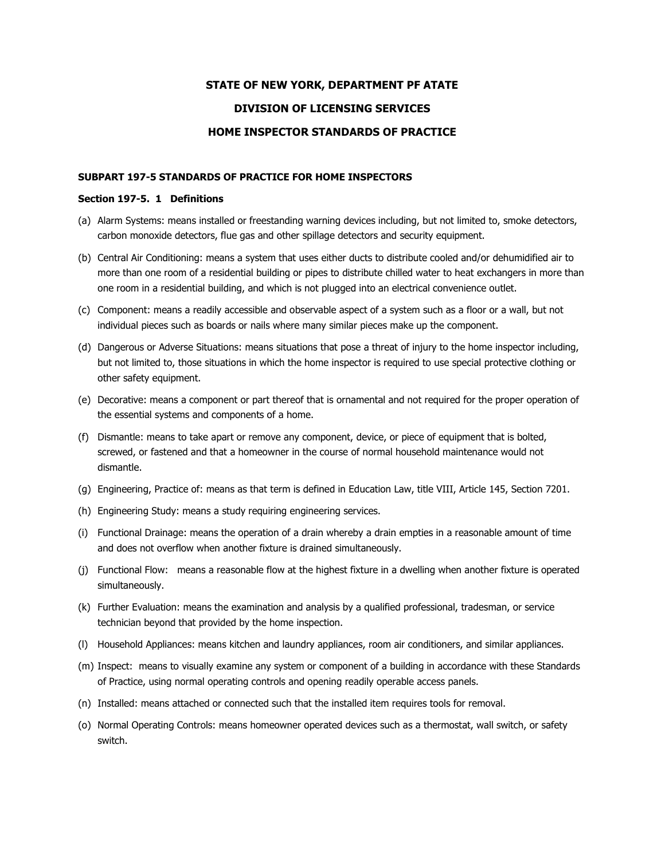# **STATE OF NEW YORK, DEPARTMENT PF ATATE DIVISION OF LICENSING SERVICES HOME INSPECTOR STANDARDS OF PRACTICE**

#### **SUBPART 197-5 STANDARDS OF PRACTICE FOR HOME INSPECTORS**

#### **Section 197-5. 1 Definitions**

- (a) Alarm Systems: means installed or freestanding warning devices including, but not limited to, smoke detectors, carbon monoxide detectors, flue gas and other spillage detectors and security equipment.
- (b) Central Air Conditioning: means a system that uses either ducts to distribute cooled and/or dehumidified air to more than one room of a residential building or pipes to distribute chilled water to heat exchangers in more than one room in a residential building, and which is not plugged into an electrical convenience outlet.
- (c) Component: means a readily accessible and observable aspect of a system such as a floor or a wall, but not individual pieces such as boards or nails where many similar pieces make up the component.
- (d) Dangerous or Adverse Situations: means situations that pose a threat of injury to the home inspector including, but not limited to, those situations in which the home inspector is required to use special protective clothing or other safety equipment.
- (e) Decorative: means a component or part thereof that is ornamental and not required for the proper operation of the essential systems and components of a home.
- (f) Dismantle: means to take apart or remove any component, device, or piece of equipment that is bolted, screwed, or fastened and that a homeowner in the course of normal household maintenance would not dismantle.
- (g) Engineering, Practice of: means as that term is defined in Education Law, title VIII, Article 145, Section 7201.
- (h) Engineering Study: means a study requiring engineering services.
- (i) Functional Drainage: means the operation of a drain whereby a drain empties in a reasonable amount of time and does not overflow when another fixture is drained simultaneously.
- (j) Functional Flow: means a reasonable flow at the highest fixture in a dwelling when another fixture is operated simultaneously.
- (k) Further Evaluation: means the examination and analysis by a qualified professional, tradesman, or service technician beyond that provided by the home inspection.
- (l) Household Appliances: means kitchen and laundry appliances, room air conditioners, and similar appliances.
- (m) Inspect: means to visually examine any system or component of a building in accordance with these Standards of Practice, using normal operating controls and opening readily operable access panels.
- (n) Installed: means attached or connected such that the installed item requires tools for removal.
- (o) Normal Operating Controls: means homeowner operated devices such as a thermostat, wall switch, or safety switch.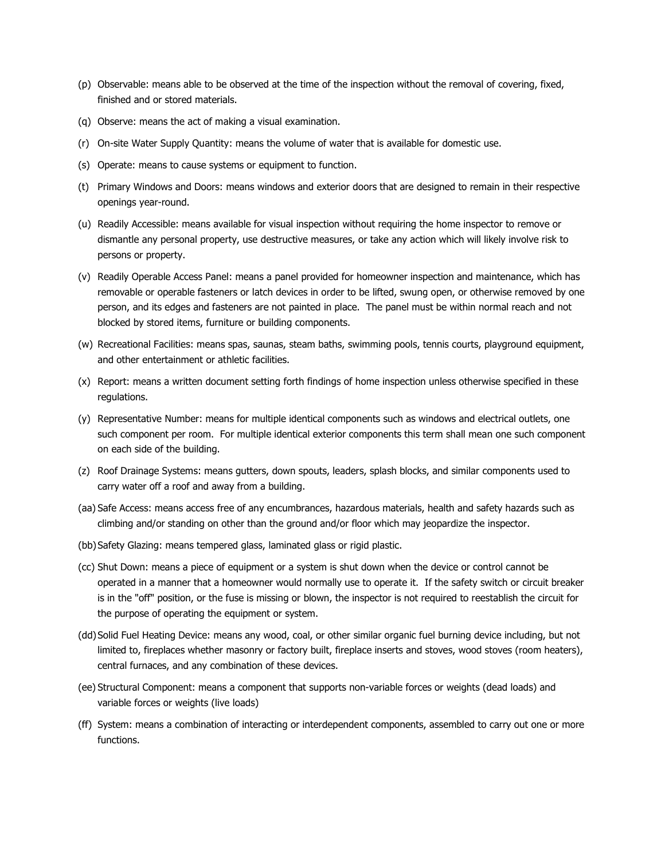- (p) Observable: means able to be observed at the time of the inspection without the removal of covering, fixed, finished and or stored materials.
- (q) Observe: means the act of making a visual examination.
- (r) On-site Water Supply Quantity: means the volume of water that is available for domestic use.
- (s) Operate: means to cause systems or equipment to function.
- (t) Primary Windows and Doors: means windows and exterior doors that are designed to remain in their respective openings year-round.
- (u) Readily Accessible: means available for visual inspection without requiring the home inspector to remove or dismantle any personal property, use destructive measures, or take any action which will likely involve risk to persons or property.
- (v) Readily Operable Access Panel: means a panel provided for homeowner inspection and maintenance, which has removable or operable fasteners or latch devices in order to be lifted, swung open, or otherwise removed by one person, and its edges and fasteners are not painted in place. The panel must be within normal reach and not blocked by stored items, furniture or building components.
- (w) Recreational Facilities: means spas, saunas, steam baths, swimming pools, tennis courts, playground equipment, and other entertainment or athletic facilities.
- (x) Report: means a written document setting forth findings of home inspection unless otherwise specified in these regulations.
- (y) Representative Number: means for multiple identical components such as windows and electrical outlets, one such component per room. For multiple identical exterior components this term shall mean one such component on each side of the building.
- (z) Roof Drainage Systems: means gutters, down spouts, leaders, splash blocks, and similar components used to carry water off a roof and away from a building.
- (aa) Safe Access: means access free of any encumbrances, hazardous materials, health and safety hazards such as climbing and/or standing on other than the ground and/or floor which may jeopardize the inspector.
- (bb)Safety Glazing: means tempered glass, laminated glass or rigid plastic.
- (cc) Shut Down: means a piece of equipment or a system is shut down when the device or control cannot be operated in a manner that a homeowner would normally use to operate it. If the safety switch or circuit breaker is in the "off" position, or the fuse is missing or blown, the inspector is not required to reestablish the circuit for the purpose of operating the equipment or system.
- (dd)Solid Fuel Heating Device: means any wood, coal, or other similar organic fuel burning device including, but not limited to, fireplaces whether masonry or factory built, fireplace inserts and stoves, wood stoves (room heaters), central furnaces, and any combination of these devices.
- (ee) Structural Component: means a component that supports non-variable forces or weights (dead loads) and variable forces or weights (live loads)
- (ff) System: means a combination of interacting or interdependent components, assembled to carry out one or more functions.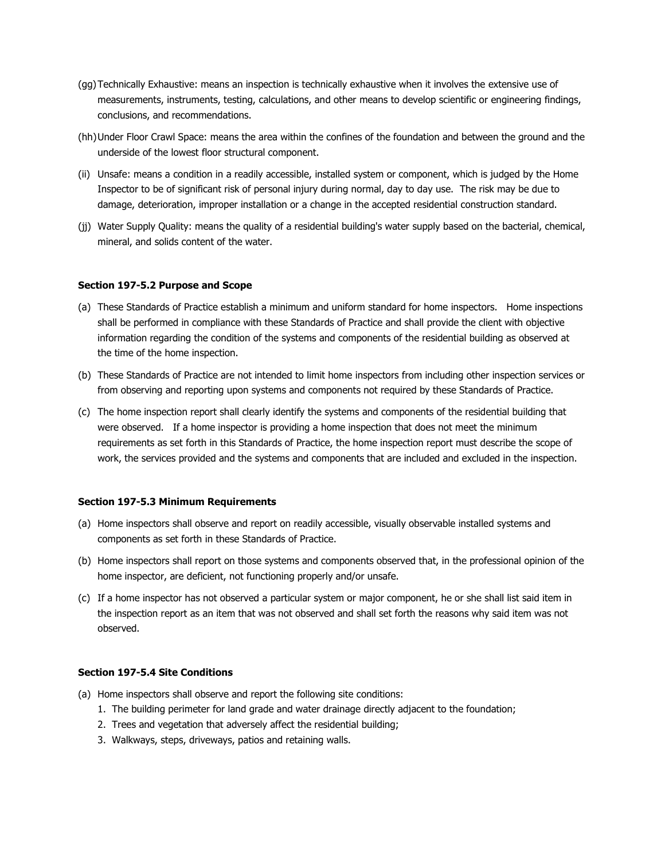- (gg)Technically Exhaustive: means an inspection is technically exhaustive when it involves the extensive use of measurements, instruments, testing, calculations, and other means to develop scientific or engineering findings, conclusions, and recommendations.
- (hh)Under Floor Crawl Space: means the area within the confines of the foundation and between the ground and the underside of the lowest floor structural component.
- (ii) Unsafe: means a condition in a readily accessible, installed system or component, which is judged by the Home Inspector to be of significant risk of personal injury during normal, day to day use. The risk may be due to damage, deterioration, improper installation or a change in the accepted residential construction standard.
- (jj) Water Supply Quality: means the quality of a residential building's water supply based on the bacterial, chemical, mineral, and solids content of the water.

#### **Section 197-5.2 Purpose and Scope**

- (a) These Standards of Practice establish a minimum and uniform standard for home inspectors. Home inspections shall be performed in compliance with these Standards of Practice and shall provide the client with objective information regarding the condition of the systems and components of the residential building as observed at the time of the home inspection.
- (b) These Standards of Practice are not intended to limit home inspectors from including other inspection services or from observing and reporting upon systems and components not required by these Standards of Practice.
- (c) The home inspection report shall clearly identify the systems and components of the residential building that were observed. If a home inspector is providing a home inspection that does not meet the minimum requirements as set forth in this Standards of Practice, the home inspection report must describe the scope of work, the services provided and the systems and components that are included and excluded in the inspection.

#### **Section 197-5.3 Minimum Requirements**

- (a) Home inspectors shall observe and report on readily accessible, visually observable installed systems and components as set forth in these Standards of Practice.
- (b) Home inspectors shall report on those systems and components observed that, in the professional opinion of the home inspector, are deficient, not functioning properly and/or unsafe.
- (c) If a home inspector has not observed a particular system or major component, he or she shall list said item in the inspection report as an item that was not observed and shall set forth the reasons why said item was not observed.

# **Section 197-5.4 Site Conditions**

- (a) Home inspectors shall observe and report the following site conditions:
	- 1. The building perimeter for land grade and water drainage directly adjacent to the foundation;
	- 2. Trees and vegetation that adversely affect the residential building;
	- 3. Walkways, steps, driveways, patios and retaining walls.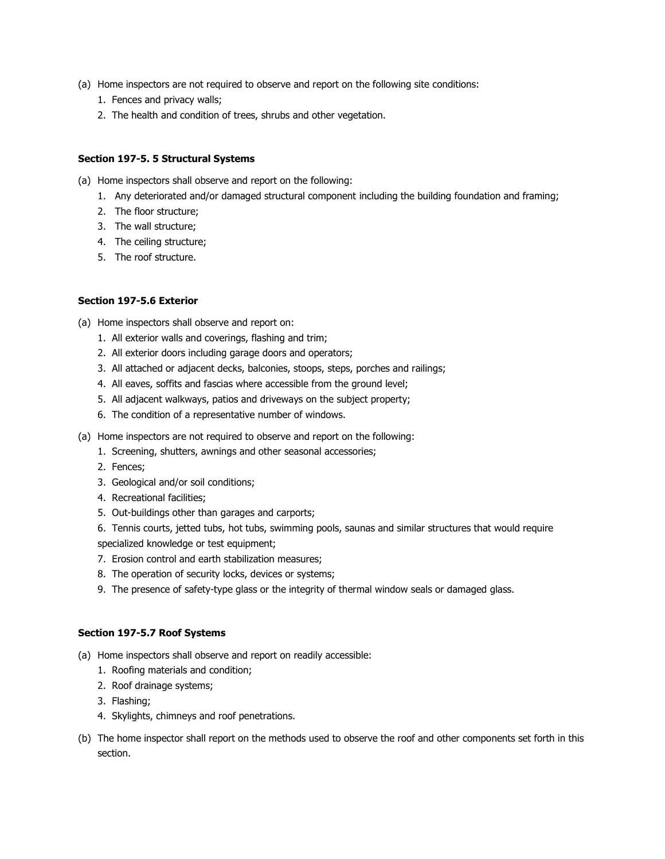- (a) Home inspectors are not required to observe and report on the following site conditions:
	- 1. Fences and privacy walls;
	- 2. The health and condition of trees, shrubs and other vegetation.

## **Section 197-5. 5 Structural Systems**

- (a) Home inspectors shall observe and report on the following:
	- 1. Any deteriorated and/or damaged structural component including the building foundation and framing;
	- 2. The floor structure;
	- 3. The wall structure;
	- 4. The ceiling structure;
	- 5. The roof structure.

## **Section 197-5.6 Exterior**

- (a) Home inspectors shall observe and report on:
	- 1. All exterior walls and coverings, flashing and trim;
	- 2. All exterior doors including garage doors and operators;
	- 3. All attached or adjacent decks, balconies, stoops, steps, porches and railings;
	- 4. All eaves, soffits and fascias where accessible from the ground level;
	- 5. All adjacent walkways, patios and driveways on the subject property;
	- 6. The condition of a representative number of windows.
- (a) Home inspectors are not required to observe and report on the following:
	- 1. Screening, shutters, awnings and other seasonal accessories;
	- 2. Fences;
	- 3. Geological and/or soil conditions;
	- 4. Recreational facilities;
	- 5. Out-buildings other than garages and carports;

6. Tennis courts, jetted tubs, hot tubs, swimming pools, saunas and similar structures that would require specialized knowledge or test equipment;

- 7. Erosion control and earth stabilization measures;
- 8. The operation of security locks, devices or systems;
- 9. The presence of safety-type glass or the integrity of thermal window seals or damaged glass.

### **Section 197-5.7 Roof Systems**

- (a) Home inspectors shall observe and report on readily accessible:
	- 1. Roofing materials and condition;
	- 2. Roof drainage systems;
	- 3. Flashing;
	- 4. Skylights, chimneys and roof penetrations.
- (b) The home inspector shall report on the methods used to observe the roof and other components set forth in this section.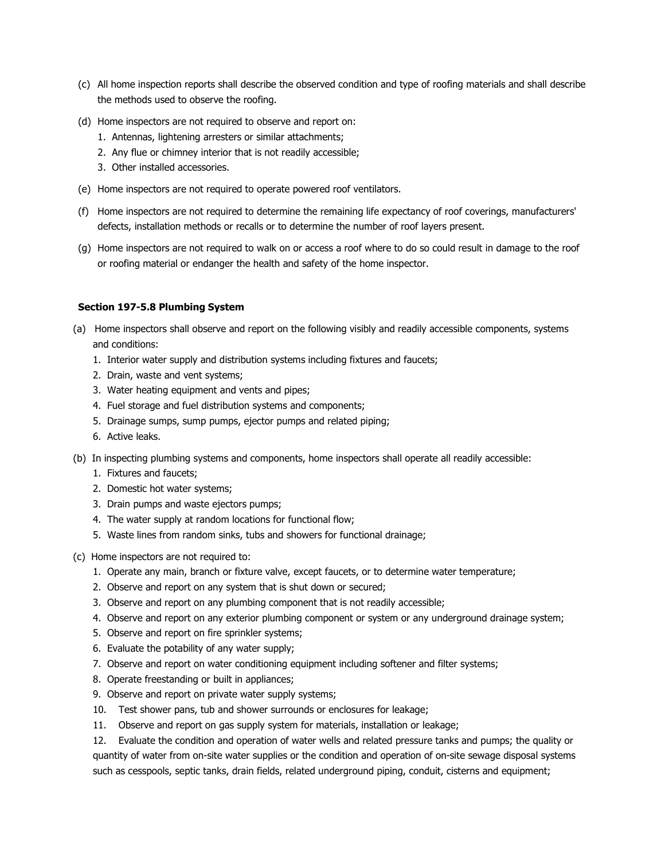- (c) All home inspection reports shall describe the observed condition and type of roofing materials and shall describe the methods used to observe the roofing.
- (d) Home inspectors are not required to observe and report on:
	- 1. Antennas, lightening arresters or similar attachments;
	- 2. Any flue or chimney interior that is not readily accessible;
	- 3. Other installed accessories.
- (e) Home inspectors are not required to operate powered roof ventilators.
- (f) Home inspectors are not required to determine the remaining life expectancy of roof coverings, manufacturers' defects, installation methods or recalls or to determine the number of roof layers present.
- (g) Home inspectors are not required to walk on or access a roof where to do so could result in damage to the roof or roofing material or endanger the health and safety of the home inspector.

## **Section 197-5.8 Plumbing System**

- (a) Home inspectors shall observe and report on the following visibly and readily accessible components, systems and conditions:
	- 1. Interior water supply and distribution systems including fixtures and faucets;
	- 2. Drain, waste and vent systems;
	- 3. Water heating equipment and vents and pipes;
	- 4. Fuel storage and fuel distribution systems and components;
	- 5. Drainage sumps, sump pumps, ejector pumps and related piping;
	- 6. Active leaks.
- (b) In inspecting plumbing systems and components, home inspectors shall operate all readily accessible:
	- 1. Fixtures and faucets;
	- 2. Domestic hot water systems;
	- 3. Drain pumps and waste ejectors pumps;
	- 4. The water supply at random locations for functional flow;
	- 5. Waste lines from random sinks, tubs and showers for functional drainage;
- (c) Home inspectors are not required to:
	- 1. Operate any main, branch or fixture valve, except faucets, or to determine water temperature;
	- 2. Observe and report on any system that is shut down or secured;
	- 3. Observe and report on any plumbing component that is not readily accessible;
	- 4. Observe and report on any exterior plumbing component or system or any underground drainage system;
	- 5. Observe and report on fire sprinkler systems;
	- 6. Evaluate the potability of any water supply;
	- 7. Observe and report on water conditioning equipment including softener and filter systems;
	- 8. Operate freestanding or built in appliances;
	- 9. Observe and report on private water supply systems;
	- 10. Test shower pans, tub and shower surrounds or enclosures for leakage;
	- 11. Observe and report on gas supply system for materials, installation or leakage;

12. Evaluate the condition and operation of water wells and related pressure tanks and pumps; the quality or quantity of water from on-site water supplies or the condition and operation of on-site sewage disposal systems such as cesspools, septic tanks, drain fields, related underground piping, conduit, cisterns and equipment;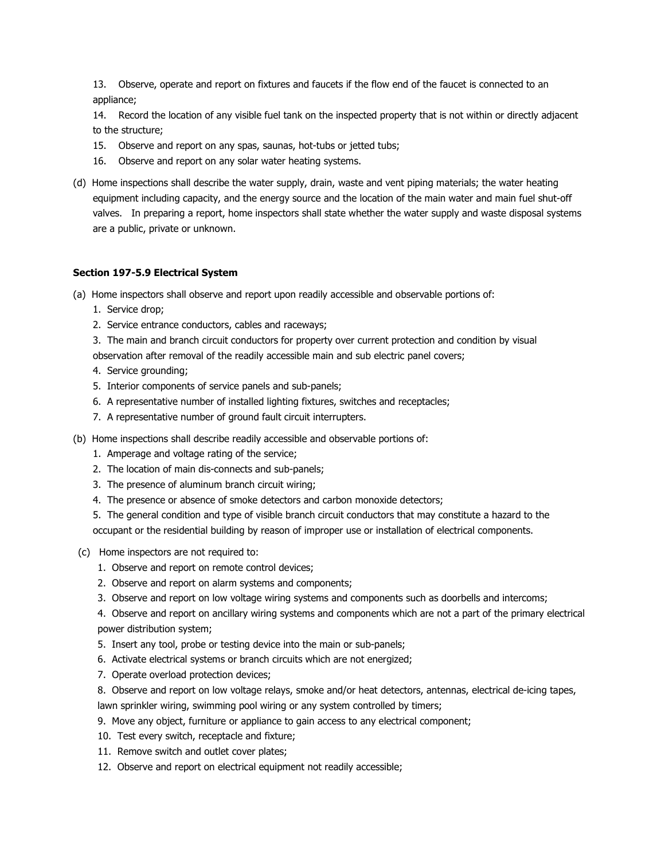13. Observe, operate and report on fixtures and faucets if the flow end of the faucet is connected to an appliance;

14. Record the location of any visible fuel tank on the inspected property that is not within or directly adjacent to the structure;

- 15. Observe and report on any spas, saunas, hot-tubs or jetted tubs;
- 16. Observe and report on any solar water heating systems.
- (d) Home inspections shall describe the water supply, drain, waste and vent piping materials; the water heating equipment including capacity, and the energy source and the location of the main water and main fuel shut-off valves. In preparing a report, home inspectors shall state whether the water supply and waste disposal systems are a public, private or unknown.

# **Section 197-5.9 Electrical System**

- (a) Home inspectors shall observe and report upon readily accessible and observable portions of:
	- 1. Service drop;
	- 2. Service entrance conductors, cables and raceways;
	- 3. The main and branch circuit conductors for property over current protection and condition by visual
	- observation after removal of the readily accessible main and sub electric panel covers;
	- 4. Service grounding;
	- 5. Interior components of service panels and sub-panels;
	- 6. A representative number of installed lighting fixtures, switches and receptacles;
	- 7. A representative number of ground fault circuit interrupters.
- (b) Home inspections shall describe readily accessible and observable portions of:
	- 1. Amperage and voltage rating of the service;
	- 2. The location of main dis-connects and sub-panels;
	- 3. The presence of aluminum branch circuit wiring;
	- 4. The presence or absence of smoke detectors and carbon monoxide detectors;
	- 5. The general condition and type of visible branch circuit conductors that may constitute a hazard to the occupant or the residential building by reason of improper use or installation of electrical components.
- (c) Home inspectors are not required to:
	- 1. Observe and report on remote control devices;
	- 2. Observe and report on alarm systems and components;
	- 3. Observe and report on low voltage wiring systems and components such as doorbells and intercoms;

4. Observe and report on ancillary wiring systems and components which are not a part of the primary electrical power distribution system;

- 5. Insert any tool, probe or testing device into the main or sub-panels;
- 6. Activate electrical systems or branch circuits which are not energized;
- 7. Operate overload protection devices;
- 8. Observe and report on low voltage relays, smoke and/or heat detectors, antennas, electrical de-icing tapes,

lawn sprinkler wiring, swimming pool wiring or any system controlled by timers;

- 9. Move any object, furniture or appliance to gain access to any electrical component;
- 10. Test every switch, receptacle and fixture;
- 11. Remove switch and outlet cover plates;
- 12. Observe and report on electrical equipment not readily accessible;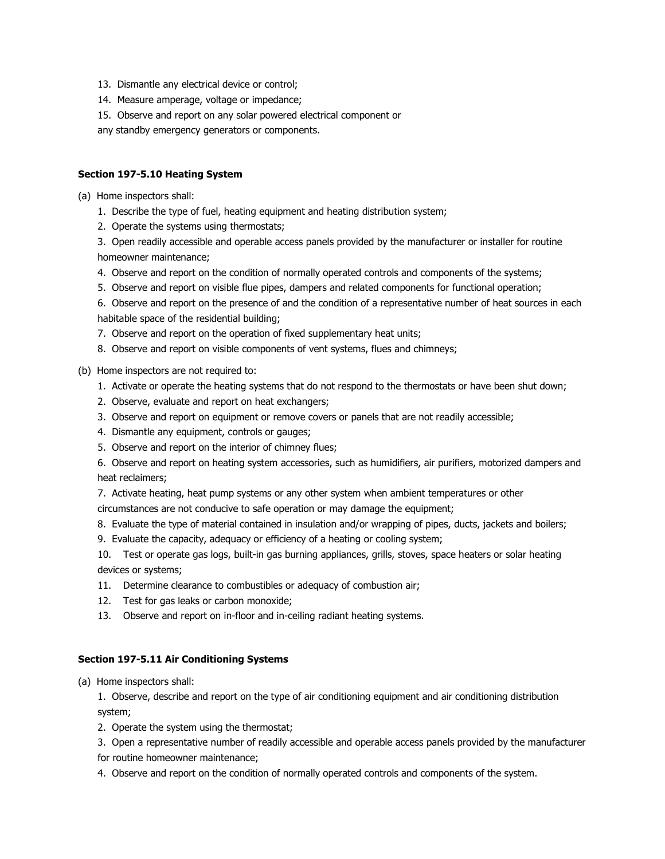- 13. Dismantle any electrical device or control;
- 14. Measure amperage, voltage or impedance;
- 15. Observe and report on any solar powered electrical component or
- any standby emergency generators or components.

## **Section 197-5.10 Heating System**

(a) Home inspectors shall:

- 1. Describe the type of fuel, heating equipment and heating distribution system;
- 2. Operate the systems using thermostats;

3. Open readily accessible and operable access panels provided by the manufacturer or installer for routine homeowner maintenance;

- 4. Observe and report on the condition of normally operated controls and components of the systems;
- 5. Observe and report on visible flue pipes, dampers and related components for functional operation;

6. Observe and report on the presence of and the condition of a representative number of heat sources in each habitable space of the residential building;

- 7. Observe and report on the operation of fixed supplementary heat units;
- 8. Observe and report on visible components of vent systems, flues and chimneys;
- (b) Home inspectors are not required to:
	- 1. Activate or operate the heating systems that do not respond to the thermostats or have been shut down;
	- 2. Observe, evaluate and report on heat exchangers;
	- 3. Observe and report on equipment or remove covers or panels that are not readily accessible;
	- 4. Dismantle any equipment, controls or gauges;
	- 5. Observe and report on the interior of chimney flues;

6. Observe and report on heating system accessories, such as humidifiers, air purifiers, motorized dampers and heat reclaimers;

7. Activate heating, heat pump systems or any other system when ambient temperatures or other circumstances are not conducive to safe operation or may damage the equipment;

- 8. Evaluate the type of material contained in insulation and/or wrapping of pipes, ducts, jackets and boilers;
- 9. Evaluate the capacity, adequacy or efficiency of a heating or cooling system;

10. Test or operate gas logs, built-in gas burning appliances, grills, stoves, space heaters or solar heating devices or systems;

- 11. Determine clearance to combustibles or adequacy of combustion air;
- 12. Test for gas leaks or carbon monoxide;
- 13. Observe and report on in-floor and in-ceiling radiant heating systems.

# **Section 197-5.11 Air Conditioning Systems**

(a) Home inspectors shall:

1. Observe, describe and report on the type of air conditioning equipment and air conditioning distribution system;

2. Operate the system using the thermostat;

3. Open a representative number of readily accessible and operable access panels provided by the manufacturer for routine homeowner maintenance;

4. Observe and report on the condition of normally operated controls and components of the system.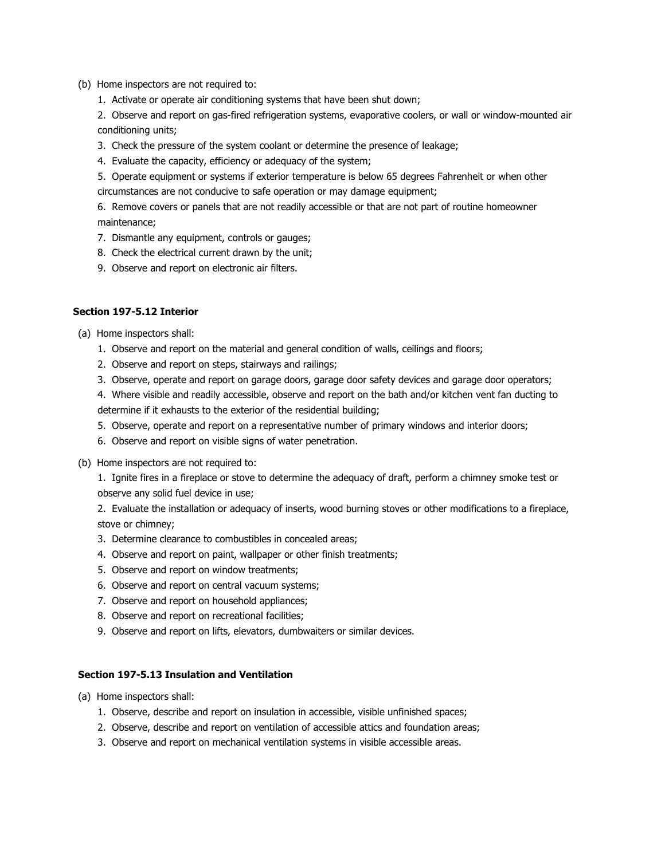- (b) Home inspectors are not required to:
	- 1. Activate or operate air conditioning systems that have been shut down;

2. Observe and report on gas-fired refrigeration systems, evaporative coolers, or wall or window-mounted air conditioning units;

- 3. Check the pressure of the system coolant or determine the presence of leakage;
- 4. Evaluate the capacity, efficiency or adequacy of the system;
- 5. Operate equipment or systems if exterior temperature is below 65 degrees Fahrenheit or when other circumstances are not conducive to safe operation or may damage equipment;

6. Remove covers or panels that are not readily accessible or that are not part of routine homeowner maintenance;

- 7. Dismantle any equipment, controls or gauges;
- 8. Check the electrical current drawn by the unit;
- 9. Observe and report on electronic air filters.

#### **Section 197-5.12 Interior**

- (a) Home inspectors shall:
	- 1. Observe and report on the material and general condition of walls, ceilings and floors;
	- 2. Observe and report on steps, stairways and railings;
	- 3. Observe, operate and report on garage doors, garage door safety devices and garage door operators;

4. Where visible and readily accessible, observe and report on the bath and/or kitchen vent fan ducting to determine if it exhausts to the exterior of the residential building;

- 5. Observe, operate and report on a representative number of primary windows and interior doors;
- 6. Observe and report on visible signs of water penetration.
- (b) Home inspectors are not required to:

1. Ignite fires in a fireplace or stove to determine the adequacy of draft, perform a chimney smoke test or observe any solid fuel device in use;

2. Evaluate the installation or adequacy of inserts, wood burning stoves or other modifications to a fireplace, stove or chimney;

- 3. Determine clearance to combustibles in concealed areas;
- 4. Observe and report on paint, wallpaper or other finish treatments;
- 5. Observe and report on window treatments;
- 6. Observe and report on central vacuum systems;
- 7. Observe and report on household appliances;
- 8. Observe and report on recreational facilities;
- 9. Observe and report on lifts, elevators, dumbwaiters or similar devices.

# **Section 197-5.13 Insulation and Ventilation**

- (a) Home inspectors shall:
	- 1. Observe, describe and report on insulation in accessible, visible unfinished spaces;
	- 2. Observe, describe and report on ventilation of accessible attics and foundation areas;
	- 3. Observe and report on mechanical ventilation systems in visible accessible areas.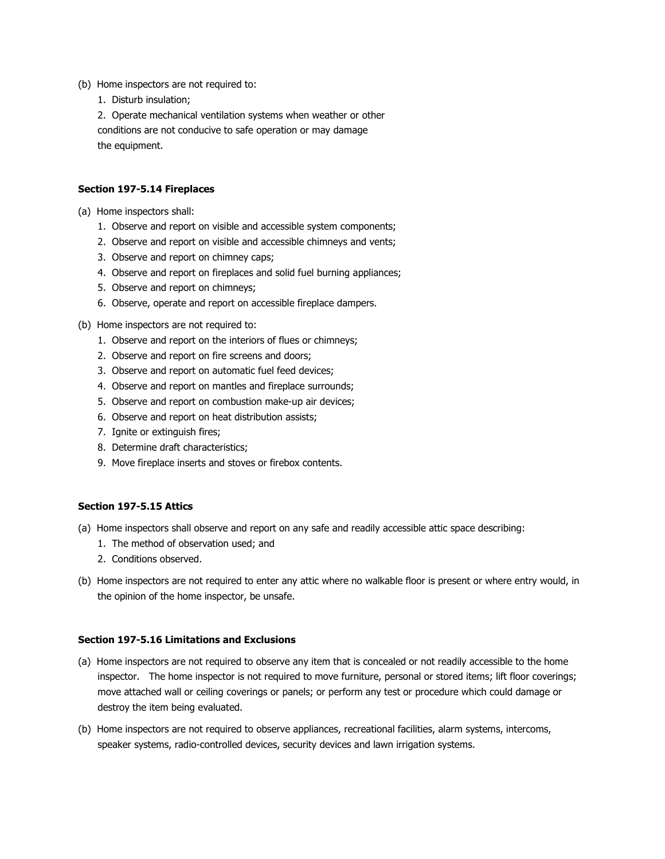- (b) Home inspectors are not required to:
	- 1. Disturb insulation;

2. Operate mechanical ventilation systems when weather or other conditions are not conducive to safe operation or may damage the equipment.

## **Section 197-5.14 Fireplaces**

- (a) Home inspectors shall:
	- 1. Observe and report on visible and accessible system components;
	- 2. Observe and report on visible and accessible chimneys and vents;
	- 3. Observe and report on chimney caps;
	- 4. Observe and report on fireplaces and solid fuel burning appliances;
	- 5. Observe and report on chimneys;
	- 6. Observe, operate and report on accessible fireplace dampers.
- (b) Home inspectors are not required to:
	- 1. Observe and report on the interiors of flues or chimneys;
	- 2. Observe and report on fire screens and doors;
	- 3. Observe and report on automatic fuel feed devices;
	- 4. Observe and report on mantles and fireplace surrounds;
	- 5. Observe and report on combustion make-up air devices;
	- 6. Observe and report on heat distribution assists;
	- 7. Ignite or extinguish fires;
	- 8. Determine draft characteristics;
	- 9. Move fireplace inserts and stoves or firebox contents.

## **Section 197-5.15 Attics**

- (a) Home inspectors shall observe and report on any safe and readily accessible attic space describing:
	- 1. The method of observation used; and
	- 2. Conditions observed.
- (b) Home inspectors are not required to enter any attic where no walkable floor is present or where entry would, in the opinion of the home inspector, be unsafe.

## **Section 197-5.16 Limitations and Exclusions**

- (a) Home inspectors are not required to observe any item that is concealed or not readily accessible to the home inspector. The home inspector is not required to move furniture, personal or stored items; lift floor coverings; move attached wall or ceiling coverings or panels; or perform any test or procedure which could damage or destroy the item being evaluated.
- (b) Home inspectors are not required to observe appliances, recreational facilities, alarm systems, intercoms, speaker systems, radio-controlled devices, security devices and lawn irrigation systems.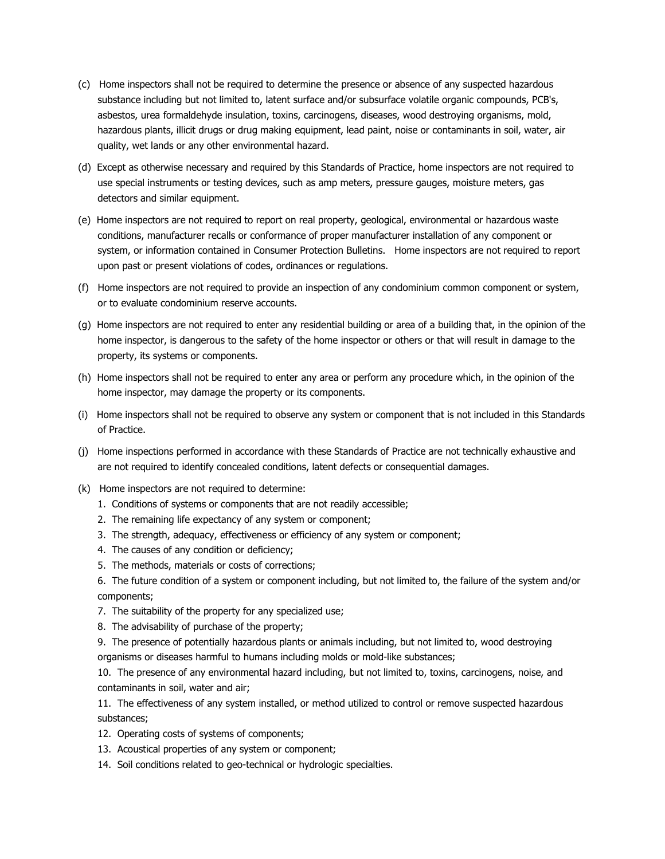- (c) Home inspectors shall not be required to determine the presence or absence of any suspected hazardous substance including but not limited to, latent surface and/or subsurface volatile organic compounds, PCB's, asbestos, urea formaldehyde insulation, toxins, carcinogens, diseases, wood destroying organisms, mold, hazardous plants, illicit drugs or drug making equipment, lead paint, noise or contaminants in soil, water, air quality, wet lands or any other environmental hazard.
- (d) Except as otherwise necessary and required by this Standards of Practice, home inspectors are not required to use special instruments or testing devices, such as amp meters, pressure gauges, moisture meters, gas detectors and similar equipment.
- (e) Home inspectors are not required to report on real property, geological, environmental or hazardous waste conditions, manufacturer recalls or conformance of proper manufacturer installation of any component or system, or information contained in Consumer Protection Bulletins. Home inspectors are not required to report upon past or present violations of codes, ordinances or regulations.
- (f) Home inspectors are not required to provide an inspection of any condominium common component or system, or to evaluate condominium reserve accounts.
- (g) Home inspectors are not required to enter any residential building or area of a building that, in the opinion of the home inspector, is dangerous to the safety of the home inspector or others or that will result in damage to the property, its systems or components.
- (h) Home inspectors shall not be required to enter any area or perform any procedure which, in the opinion of the home inspector, may damage the property or its components.
- (i) Home inspectors shall not be required to observe any system or component that is not included in this Standards of Practice.
- (j) Home inspections performed in accordance with these Standards of Practice are not technically exhaustive and are not required to identify concealed conditions, latent defects or consequential damages.
- (k) Home inspectors are not required to determine:
	- 1. Conditions of systems or components that are not readily accessible;
	- 2. The remaining life expectancy of any system or component;
	- 3. The strength, adequacy, effectiveness or efficiency of any system or component;
	- 4. The causes of any condition or deficiency;
	- 5. The methods, materials or costs of corrections;
	- 6. The future condition of a system or component including, but not limited to, the failure of the system and/or components;
	- 7. The suitability of the property for any specialized use;
	- 8. The advisability of purchase of the property;
	- 9. The presence of potentially hazardous plants or animals including, but not limited to, wood destroying organisms or diseases harmful to humans including molds or mold-like substances;
	- 10. The presence of any environmental hazard including, but not limited to, toxins, carcinogens, noise, and contaminants in soil, water and air;
	- 11. The effectiveness of any system installed, or method utilized to control or remove suspected hazardous substances;
	- 12. Operating costs of systems of components;
	- 13. Acoustical properties of any system or component;
	- 14. Soil conditions related to geo-technical or hydrologic specialties.